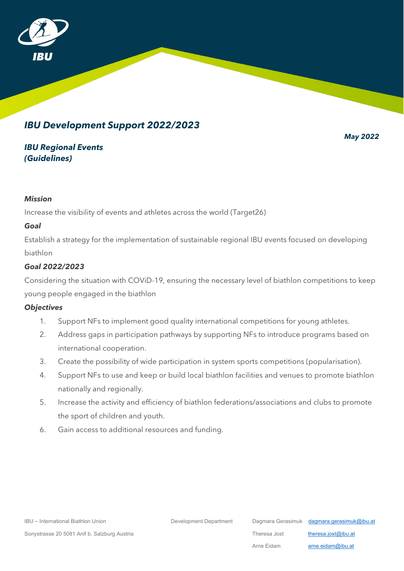

# *IBU Development Support 2022/2023*

*May 2022*

## *IBU Regional Events (Guidelines)*

#### *Mission*

Increase the visibility of events and athletes across the world (Target26)

### *Goal*

Establish a strategy for the implementation of sustainable regional IBU events focused on developing biathlon

## *Goal 2022/2023*

Considering the situation with COViD-19, ensuring the necessary level of biathlon competitions to keep young people engaged in the biathlon

### *Objectives*

- 1. Support NFs to implement good quality international competitions for young athletes.
- 2. Address gaps in participation pathways by supporting NFs to introduce programs based on international cooperation.
- 3. Create the possibility of wide participation in system sports competitions (popularisation).
- 4. Support NFs to use and keep or build local biathlon facilities and venues to promote biathlon nationally and regionally.
- 5. Increase the activity and efficiency of biathlon federations/associations and clubs to promote the sport of children and youth.
- 6. Gain access to additional resources and funding.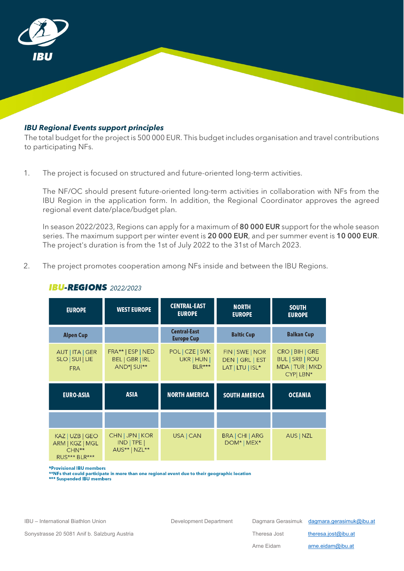

#### *IBU Regional Events support principles*

The total budget for the project is 500 000 EUR. This budget includes organisation and travel contributions to participating NFs.

1. The project is focused on structured and future-oriented long-term activities.

The NF/OC should present future-oriented long-term activities in collaboration with NFs from the IBU Region in the application form. In addition, the Regional Coordinator approves the agreed regional event date/place/budget plan.

In season 2022/2023, Regions can apply for a maximum of 80 000 EUR support for the whole season series. The maximum support per winter event is 20 000 EUR, and per summer event is 10 000 EUR. The project's duration is from the 1st of July 2022 to the 31st of March 2023.

2. The project promotes cooperation among NFs inside and between the IBU Regions.

| <b>EUROPE</b>                                                  | <b>WEST EUROPE</b>                                  | <b>CENTRAL-EAST</b><br><b>EUROPE</b>       | <b>NORTH</b><br><b>EUROPE</b>                          | <b>SOUTH</b><br><b>EUROPE</b>                                            |
|----------------------------------------------------------------|-----------------------------------------------------|--------------------------------------------|--------------------------------------------------------|--------------------------------------------------------------------------|
| <b>Alpen Cup</b>                                               |                                                     | <b>Central-East</b><br><b>Europe Cup</b>   | <b>Baltic Cup</b>                                      | <b>Balkan Cup</b>                                                        |
| AUT   ITA   GER<br>SLO   SUI   LIE<br><b>FRA</b>               | FRA**   ESP   NED<br>BEL   GBR   IRL<br>AND*  SUI** | POL   CZE   SVK<br>UKR   HUN  <br>$BLR***$ | FIN   SWE   NOR<br>DEN   GRL   EST<br>LAT   LTU   ISL* | CRO   BIH   GRE<br><b>BUL   SRB   ROU</b><br>MDA   TUR   MKD<br>CYP LBN* |
| <b>EURO-ASIA</b>                                               | <b>ASIA</b>                                         | <b>NORTH AMERICA</b>                       | <b>SOUTH AMERICA</b>                                   | <b>OCEANIA</b>                                                           |
|                                                                |                                                     |                                            |                                                        |                                                                          |
| KAZ   UZB   GEO<br>ARM   KGZ   MGL<br>$CHN**$<br>RUS*** BLR*** | CHN   JPN   KOR<br>$IND$ TPE<br>AUS**   NZL**       | USA   CAN                                  | BRA   CHI   ARG<br>DOM*   MEX*                         | AUS   NZL                                                                |

### **IBU-REGIONS** 2022/2023

\*Provisional IBU members

\*\*NFs that could participate in more than one regional event due to their geographic location<br>\*\*NFs that could participate in more than one regional event due to their geographic location

Sonystrasse 20 5081 Anif b. Salzburg Austria Theresa Jost [theresa.jost@ibu.at](mailto:theresa.jost@ibu.at)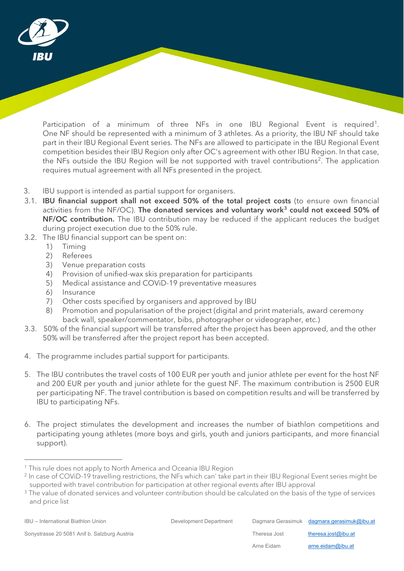

Participation of a minimum of three NFs in one IBU Regional Event is required<sup>[1](#page-2-0)</sup>. One NF should be represented with a minimum of 3 athletes. As a priority, the IBU NF should take part in their IBU Regional Event series. The NFs are allowed to participate in the IBU Regional Event competition besides their IBU Region only after OC's agreement with other IBU Region. In that case, the NFs outside the IBU Region will be not supported with travel contributions<sup>[2](#page-2-1)</sup>. The application requires mutual agreement with all NFs presented in the project.

- 3. IBU support is intended as partial support for organisers.
- 3.1. IBU financial support shall not exceed 50% of the total project costs (to ensure own financial activities from the NF/OC). The donated services and voluntary work<sup>[3](#page-2-2)</sup> could not exceed 50% of NF/OC contribution. The IBU contribution may be reduced if the applicant reduces the budget during project execution due to the 50% rule.
- 3.2. The IBU financial support can be spent on:
	- 1) Timing
	- 2) Referees
	- 3) Venue preparation costs
	- 4) Provision of unified-wax skis preparation for participants
	- 5) Medical assistance and COViD-19 preventative measures
	- 6) Insurance
	- 7) Other costs specified by organisers and approved by IBU
	- 8) Promotion and popularisation of the project (digital and print materials, award ceremony back wall, speaker/commentator, bibs, photographer or videographer, etc.)
- 3.3. 50% of the financial support will be transferred after the project has been approved, and the other 50% will be transferred after the project report has been accepted.
- 4. The programme includes partial support for participants.
- 5. The IBU contributes the travel costs of 100 EUR per youth and junior athlete per event for the host NF and 200 EUR per youth and junior athlete for the guest NF. The maximum contribution is 2500 EUR per participating NF. The travel contribution is based on competition results and will be transferred by IBU to participating NFs.
- 6. The project stimulates the development and increases the number of biathlon competitions and participating young athletes (more boys and girls, youth and juniors participants, and more financial support).

<span id="page-2-0"></span><sup>&</sup>lt;sup>1</sup> This rule does not apply to North America and Oceania IBU Region

<span id="page-2-1"></span><sup>&</sup>lt;sup>2</sup> In case of COViD-19 travelling restrictions, the NFs which can' take part in their IBU Regional Event series might be supported with travel contribution for participation at other regional events after IBU approval

<span id="page-2-2"></span><sup>&</sup>lt;sup>3</sup> The value of donated services and volunteer contribution should be calculated on the basis of the type of services and price list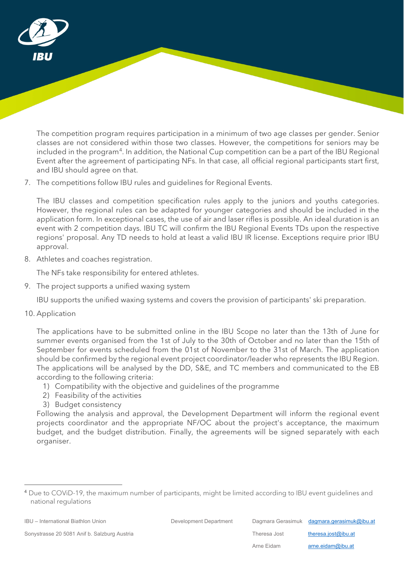

The competition program requires participation in a minimum of two age classes per gender. Senior classes are not considered within those two classes. However, the competitions for seniors may be included in the program<sup>4</sup>. In addition, the National Cup competition can be a part of the IBU Regional Event after the agreement of participating NFs. In that case, all official regional participants start first, and IBU should agree on that.

7. The competitions follow IBU rules and guidelines for Regional Events.

The IBU classes and competition specification rules apply to the juniors and youths categories. However, the regional rules can be adapted for younger categories and should be included in the application form. In exceptional cases, the use of air and laser rifles is possible. An ideal duration is an event with 2 competition days. IBU TC will confirm the IBU Regional Events TDs upon the respective regions' proposal. Any TD needs to hold at least a valid IBU IR license. Exceptions require prior IBU approval.

8. Athletes and coaches registration.

The NFs take responsibility for entered athletes.

9. The project supports a unified waxing system

IBU supports the unified waxing systems and covers the provision of participants' ski preparation.

10. Application

The applications have to be submitted online in the IBU Scope no later than the 13th of June for summer events organised from the 1st of July to the 30th of October and no later than the 15th of September for events scheduled from the 01st of November to the 31st of March. The application should be confirmed by the regional event project coordinator/leader who represents the IBU Region. The applications will be analysed by the DD, S&E, and TC members and communicated to the EB according to the following criteria:

- 1) Compatibility with the objective and guidelines of the programme
- 2) Feasibility of the activities
- 3) Budget consistency

Following the analysis and approval, the Development Department will inform the regional event projects coordinator and the appropriate NF/OC about the project's acceptance, the maximum budget, and the budget distribution. Finally, the agreements will be signed separately with each organiser.

IBU – International Biathlon Union Development Department Dagmara Gerasimuk [dagmara.gerasimuk@ibu.at](mailto:dagmara.gerasimuk@ibu.at)

Arne Eidam [arne.eidam@ibu.at](mailto:arne.eidam@ibu.at)

<span id="page-3-0"></span><sup>4</sup> Due to COViD-19, the maximum number of participants, might be limited according to IBU event guidelines and national regulations